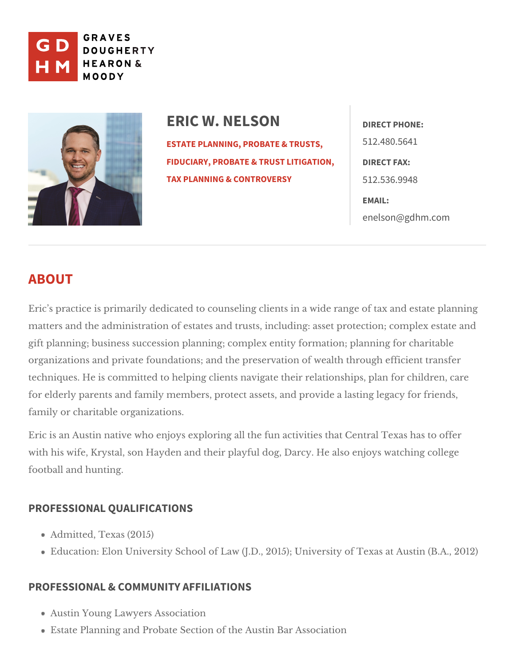

ERIC W. NELSON DIRECT PHONE: [ESTATE PLANNING, PROB](https://www.gdhm.com/practice-areas/estate-planning-tax-probate/)ATE & TRUSTS, 512.480.5641 [FIDUCIARY, PROBATE & TR](https://www.gdhm.com/practice-areas/fiduciary-probate-trust-litigation/)USTDLIRTEIGTATIONN, [TAX PLANNING & CO](https://www.gdhm.com/practice-areas/federal-tax-planning-controversy/)NTROVERS5Y12.536.9948

> EMAIL: [enelson@gdh](mailto:enelson@gdhm.com)m.com

## ABOUT

Eric s practice is primarily dedicated to counseling clients in a wide range o matters and the administration of estates and trusts, including: asset protection; gift planning; business succession planning; complex entity formation; plann organizations and private foundations; and the preservation of wealth throug techniques. He is committed to helping clients navigate their relationships, p for elderly parents and family members, protect assets, and provide a lasting family  $\alpha$  haritable organizations.

Eric is an Austin native who enjoys exploring all the fun activities that Centr with his wife, Krystal, son Hayden and their playful dog, Darcy. He also enjo footbaahd hunting.

## PROFESSIONAL QUALIFICATIONS

Admitted, Texas (2015) Education: Elon University School of Law (J.D., 2015); UnivéBsAty, Qf0 T2 ka

## PROFESSIONAL & COMMUNITY AFFILIATIONS

Austin Young Lawyers Association Estate Planning and Probate Section Baf Ahses o Acuisattion